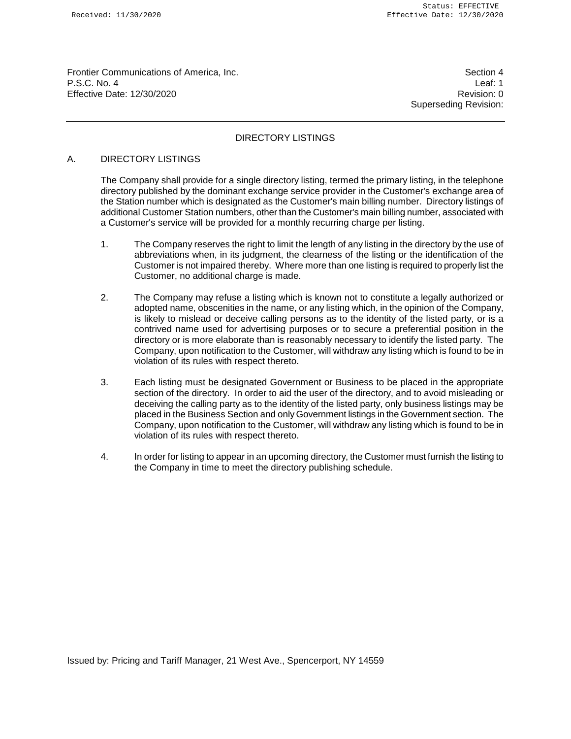Frontier Communications of America, Inc. Section 4 P.S.C. No. 4 Leaf: 1 Effective Date: 12/30/2020 Revision: 0

Superseding Revision:

# DIRECTORY LISTINGS

# A. DIRECTORY LISTINGS

The Company shall provide for a single directory listing, termed the primary listing, in the telephone directory published by the dominant exchange service provider in the Customer's exchange area of the Station number which is designated as the Customer's main billing number. Directory listings of additional Customer Station numbers, other than the Customer's main billing number, associated with a Customer's service will be provided for a monthly recurring charge per listing.

- 1. The Company reserves the right to limit the length of any listing in the directory by the use of abbreviations when, in its judgment, the clearness of the listing or the identification of the Customer is not impaired thereby. Where more than one listing is required to properly list the Customer, no additional charge is made.
- 2. The Company may refuse a listing which is known not to constitute a legally authorized or adopted name, obscenities in the name, or any listing which, in the opinion of the Company, is likely to mislead or deceive calling persons as to the identity of the listed party, or is a contrived name used for advertising purposes or to secure a preferential position in the directory or is more elaborate than is reasonably necessary to identify the listed party. The Company, upon notification to the Customer, will withdraw any listing which is found to be in violation of its rules with respect thereto.
- 3. Each listing must be designated Government or Business to be placed in the appropriate section of the directory. In order to aid the user of the directory, and to avoid misleading or deceiving the calling party as to the identity of the listed party, only business listings may be placed in the Business Section and only Government listings in the Government section. The Company, upon notification to the Customer, will withdraw any listing which is found to be in violation of its rules with respect thereto.
- 4. In order for listing to appear in an upcoming directory, the Customer must furnish the listing to the Company in time to meet the directory publishing schedule.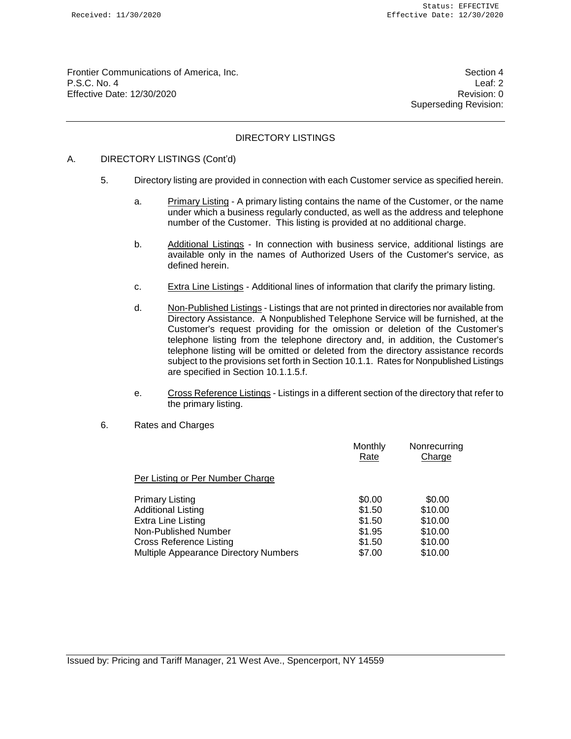Frontier Communications of America, Inc. Section 4 P.S.C. No. 4 Leaf: 2 Effective Date: 12/30/2020 **Revision: 0** 

Superseding Revision:

# DIRECTORY LISTINGS

# A. DIRECTORY LISTINGS (Cont'd)

- 5. Directory listing are provided in connection with each Customer service as specified herein.
	- a. Primary Listing A primary listing contains the name of the Customer, or the name under which a business regularly conducted, as well as the address and telephone number of the Customer. This listing is provided at no additional charge.
	- b. Additional Listings In connection with business service, additional listings are available only in the names of Authorized Users of the Customer's service, as defined herein.
	- c. Extra Line Listings Additional lines of information that clarify the primary listing.
	- d. Non-Published Listings Listings that are not printed in directories nor available from Directory Assistance. A Nonpublished Telephone Service will be furnished, at the Customer's request providing for the omission or deletion of the Customer's telephone listing from the telephone directory and, in addition, the Customer's telephone listing will be omitted or deleted from the directory assistance records subject to the provisions set forth in Section 10.1.1. Rates for Nonpublished Listings are specified in Section 10.1.1.5.f.
	- e. Cross Reference Listings Listings in a different section of the directory that refer to the primary listing.
- 6. Rates and Charges

|                                       | Monthly<br>Rate | Nonrecurring<br>Charge |
|---------------------------------------|-----------------|------------------------|
| Per Listing or Per Number Charge      |                 |                        |
| <b>Primary Listing</b>                | \$0.00          | \$0.00                 |
| <b>Additional Listing</b>             | \$1.50          | \$10.00                |
| Extra Line Listing                    | \$1.50          | \$10.00                |
| Non-Published Number                  | \$1.95          | \$10.00                |
| Cross Reference Listing               | \$1.50          | \$10.00                |
| Multiple Appearance Directory Numbers | \$7.00          | \$10.00                |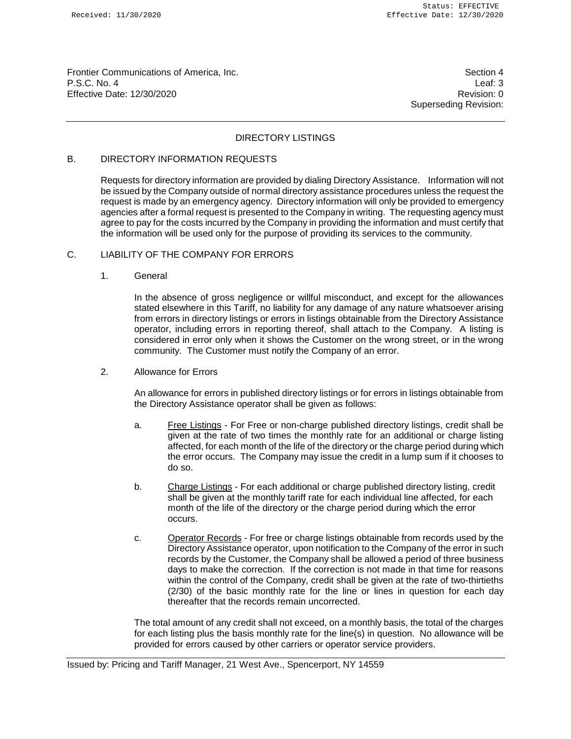Frontier Communications of America, Inc. Section 4 P.S.C. No. 4 Leaf: 3 Effective Date: 12/30/2020 **Revision: 0** 

Superseding Revision:

# DIRECTORY LISTINGS

# B. DIRECTORY INFORMATION REQUESTS

Requests for directory information are provided by dialing Directory Assistance. Information will not be issued by the Company outside of normal directory assistance procedures unless the request the request is made by an emergency agency. Directory information will only be provided to emergency agencies after a formal request is presented to the Company in writing. The requesting agency must agree to pay for the costs incurred by the Company in providing the information and must certify that the information will be used only for the purpose of providing its services to the community.

### C. LIABILITY OF THE COMPANY FOR ERRORS

### 1. General

In the absence of gross negligence or willful misconduct, and except for the allowances stated elsewhere in this Tariff, no liability for any damage of any nature whatsoever arising from errors in directory listings or errors in listings obtainable from the Directory Assistance operator, including errors in reporting thereof, shall attach to the Company. A listing is considered in error only when it shows the Customer on the wrong street, or in the wrong community. The Customer must notify the Company of an error.

2. Allowance for Errors

An allowance for errors in published directory listings or for errors in listings obtainable from the Directory Assistance operator shall be given as follows:

- a. Free Listings For Free or non-charge published directory listings, credit shall be given at the rate of two times the monthly rate for an additional or charge listing affected, for each month of the life of the directory or the charge period during which the error occurs. The Company may issue the credit in a lump sum if it chooses to do so.
- b. Charge Listings For each additional or charge published directory listing, credit shall be given at the monthly tariff rate for each individual line affected, for each month of the life of the directory or the charge period during which the error occurs.
- c. Operator Records For free or charge listings obtainable from records used by the Directory Assistance operator, upon notification to the Company of the error in such records by the Customer, the Company shall be allowed a period of three business days to make the correction. If the correction is not made in that time for reasons within the control of the Company, credit shall be given at the rate of two-thirtieths (2/30) of the basic monthly rate for the line or lines in question for each day thereafter that the records remain uncorrected.

The total amount of any credit shall not exceed, on a monthly basis, the total of the charges for each listing plus the basis monthly rate for the line(s) in question. No allowance will be provided for errors caused by other carriers or operator service providers.